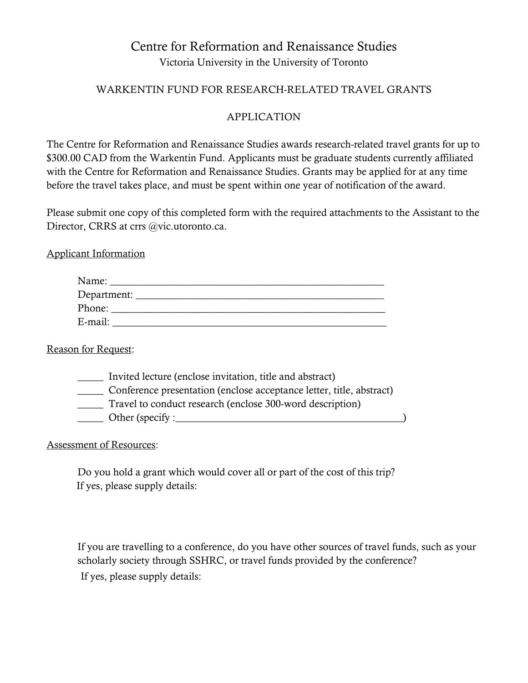# Centre for Reformation and Renaissance Studies Victoria University in the University of Toronto

### WARKENTIN FUND FOR RESEARCH-RELATED TRAVEL GRANTS

## APPLICATION

The Centre for Reformation and Renaissance Studies awards research-related travel grants for up to \$300.00 CAD from the Warkentin Fund. Applicants must be graduate students currently affiliated with the Centre for Reformation and Renaissance Studies. Grants may be applied for at any time before the travel takes place, and must be spent within one year of notification of the award.

Please submit one copy of this completed form with the required attachments to the Assistant to the Director, CRRS at crrs @vic.utoronto.ca.

Applicant Information

| Name:         |  |
|---------------|--|
| Department: _ |  |
| Phone:        |  |
| E-mail:       |  |

#### Reason for Request:

| Invited lecture (enclose invitation, title and abstract)             |  |
|----------------------------------------------------------------------|--|
| Conference presentation (enclose acceptance letter, title, abstract) |  |
| Travel to conduct research (enclose 300-word description)            |  |
| Other (specify : $\overline{\phantom{a}}$                            |  |

## Assessment of Resources:

Do you hold a grant which would cover all or part of the cost of this trip? If yes, please supply details:

If you are travelling to a conference, do you have other sources of travel funds, such as your scholarly society through SSHRC, or travel funds provided by the conference? If yes, please supply details: